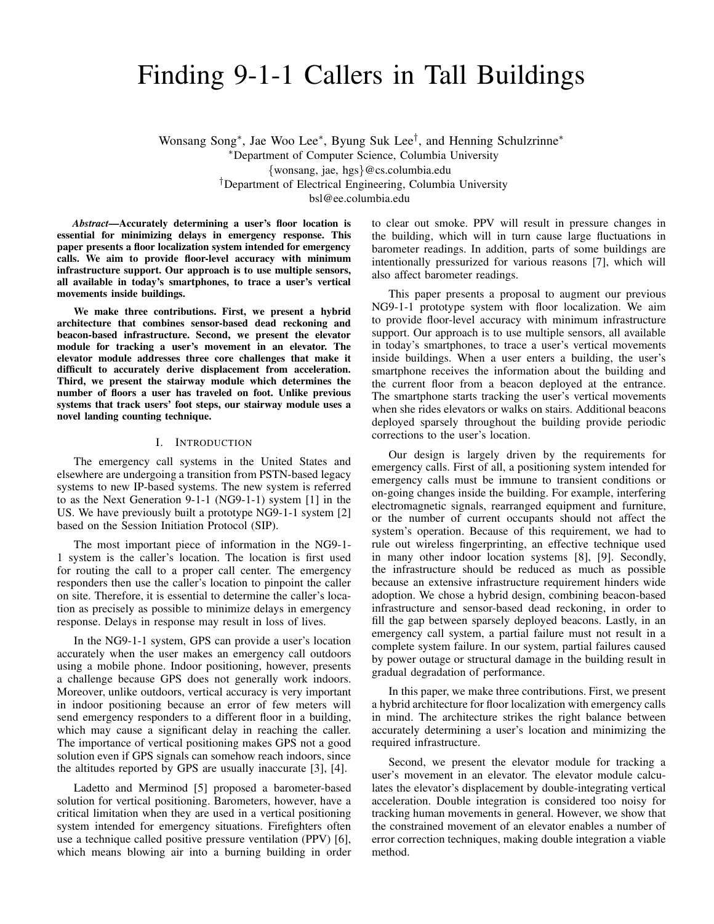# Finding 9-1-1 Callers in Tall Buildings

Wonsang Song<sup>∗</sup>, Jae Woo Lee<sup>∗</sup>, Byung Suk Lee<sup>†</sup>, and Henning Schulzrinne<sup>∗</sup>

<sup>∗</sup>Department of Computer Science, Columbia University

{wonsang, jae, hgs}@cs.columbia.edu

†Department of Electrical Engineering, Columbia University

bsl@ee.columbia.edu

*Abstract*—Accurately determining a user's floor location is essential for minimizing delays in emergency response. This paper presents a floor localization system intended for emergency calls. We aim to provide floor-level accuracy with minimum infrastructure support. Our approach is to use multiple sensors, all available in today's smartphones, to trace a user's vertical movements inside buildings.

We make three contributions. First, we present a hybrid architecture that combines sensor-based dead reckoning and beacon-based infrastructure. Second, we present the elevator module for tracking a user's movement in an elevator. The elevator module addresses three core challenges that make it difficult to accurately derive displacement from acceleration. Third, we present the stairway module which determines the number of floors a user has traveled on foot. Unlike previous systems that track users' foot steps, our stairway module uses a novel landing counting technique.

## I. INTRODUCTION

The emergency call systems in the United States and elsewhere are undergoing a transition from PSTN-based legacy systems to new IP-based systems. The new system is referred to as the Next Generation 9-1-1 (NG9-1-1) system [1] in the US. We have previously built a prototype NG9-1-1 system [2] based on the Session Initiation Protocol (SIP).

The most important piece of information in the NG9-1- 1 system is the caller's location. The location is first used for routing the call to a proper call center. The emergency responders then use the caller's location to pinpoint the caller on site. Therefore, it is essential to determine the caller's location as precisely as possible to minimize delays in emergency response. Delays in response may result in loss of lives.

In the NG9-1-1 system, GPS can provide a user's location accurately when the user makes an emergency call outdoors using a mobile phone. Indoor positioning, however, presents a challenge because GPS does not generally work indoors. Moreover, unlike outdoors, vertical accuracy is very important in indoor positioning because an error of few meters will send emergency responders to a different floor in a building, which may cause a significant delay in reaching the caller. The importance of vertical positioning makes GPS not a good solution even if GPS signals can somehow reach indoors, since the altitudes reported by GPS are usually inaccurate [3], [4].

Ladetto and Merminod [5] proposed a barometer-based solution for vertical positioning. Barometers, however, have a critical limitation when they are used in a vertical positioning system intended for emergency situations. Firefighters often use a technique called positive pressure ventilation (PPV) [6], which means blowing air into a burning building in order to clear out smoke. PPV will result in pressure changes in the building, which will in turn cause large fluctuations in barometer readings. In addition, parts of some buildings are intentionally pressurized for various reasons [7], which will also affect barometer readings.

This paper presents a proposal to augment our previous NG9-1-1 prototype system with floor localization. We aim to provide floor-level accuracy with minimum infrastructure support. Our approach is to use multiple sensors, all available in today's smartphones, to trace a user's vertical movements inside buildings. When a user enters a building, the user's smartphone receives the information about the building and the current floor from a beacon deployed at the entrance. The smartphone starts tracking the user's vertical movements when she rides elevators or walks on stairs. Additional beacons deployed sparsely throughout the building provide periodic corrections to the user's location.

Our design is largely driven by the requirements for emergency calls. First of all, a positioning system intended for emergency calls must be immune to transient conditions or on-going changes inside the building. For example, interfering electromagnetic signals, rearranged equipment and furniture, or the number of current occupants should not affect the system's operation. Because of this requirement, we had to rule out wireless fingerprinting, an effective technique used in many other indoor location systems [8], [9]. Secondly, the infrastructure should be reduced as much as possible because an extensive infrastructure requirement hinders wide adoption. We chose a hybrid design, combining beacon-based infrastructure and sensor-based dead reckoning, in order to fill the gap between sparsely deployed beacons. Lastly, in an emergency call system, a partial failure must not result in a complete system failure. In our system, partial failures caused by power outage or structural damage in the building result in gradual degradation of performance.

In this paper, we make three contributions. First, we present a hybrid architecture for floor localization with emergency calls in mind. The architecture strikes the right balance between accurately determining a user's location and minimizing the required infrastructure.

Second, we present the elevator module for tracking a user's movement in an elevator. The elevator module calculates the elevator's displacement by double-integrating vertical acceleration. Double integration is considered too noisy for tracking human movements in general. However, we show that the constrained movement of an elevator enables a number of error correction techniques, making double integration a viable method.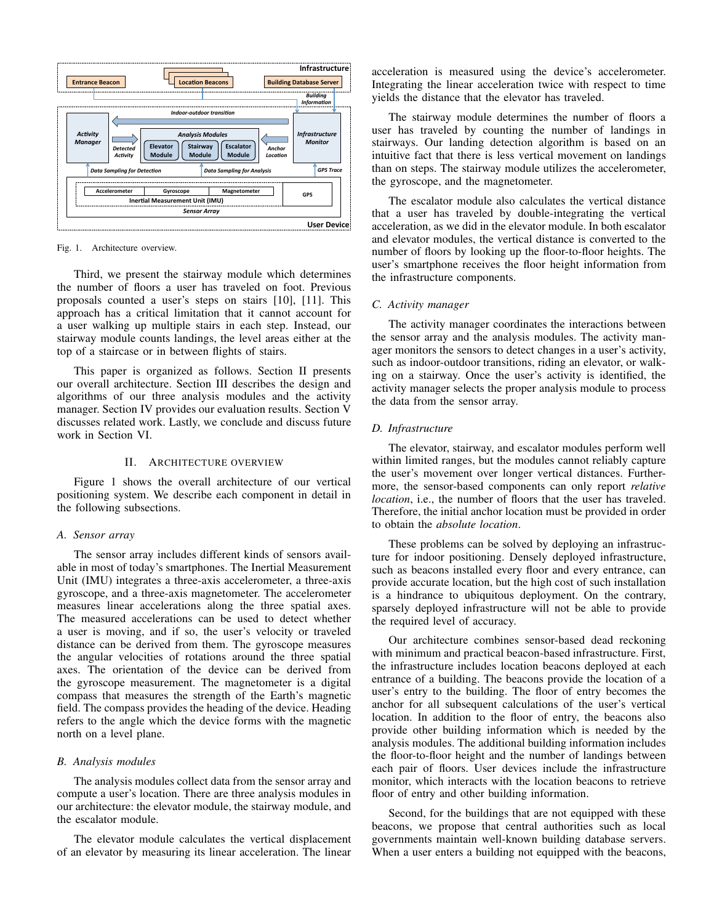

Fig. 1. Architecture overview.

Third, we present the stairway module which determines the number of floors a user has traveled on foot. Previous proposals counted a user's steps on stairs [10], [11]. This approach has a critical limitation that it cannot account for a user walking up multiple stairs in each step. Instead, our stairway module counts landings, the level areas either at the top of a staircase or in between flights of stairs.

This paper is organized as follows. Section II presents our overall architecture. Section III describes the design and algorithms of our three analysis modules and the activity manager. Section IV provides our evaluation results. Section V discusses related work. Lastly, we conclude and discuss future work in Section VI.

## II. ARCHITECTURE OVERVIEW

Figure 1 shows the overall architecture of our vertical positioning system. We describe each component in detail in the following subsections.

#### *A. Sensor array*

The sensor array includes different kinds of sensors available in most of today's smartphones. The Inertial Measurement Unit (IMU) integrates a three-axis accelerometer, a three-axis gyroscope, and a three-axis magnetometer. The accelerometer measures linear accelerations along the three spatial axes. The measured accelerations can be used to detect whether a user is moving, and if so, the user's velocity or traveled distance can be derived from them. The gyroscope measures the angular velocities of rotations around the three spatial axes. The orientation of the device can be derived from the gyroscope measurement. The magnetometer is a digital compass that measures the strength of the Earth's magnetic field. The compass provides the heading of the device. Heading refers to the angle which the device forms with the magnetic north on a level plane.

#### *B. Analysis modules*

The analysis modules collect data from the sensor array and compute a user's location. There are three analysis modules in our architecture: the elevator module, the stairway module, and the escalator module.

The elevator module calculates the vertical displacement of an elevator by measuring its linear acceleration. The linear acceleration is measured using the device's accelerometer. Integrating the linear acceleration twice with respect to time yields the distance that the elevator has traveled.

The stairway module determines the number of floors a user has traveled by counting the number of landings in stairways. Our landing detection algorithm is based on an intuitive fact that there is less vertical movement on landings than on steps. The stairway module utilizes the accelerometer, the gyroscope, and the magnetometer.

The escalator module also calculates the vertical distance that a user has traveled by double-integrating the vertical acceleration, as we did in the elevator module. In both escalator and elevator modules, the vertical distance is converted to the number of floors by looking up the floor-to-floor heights. The user's smartphone receives the floor height information from the infrastructure components.

#### *C. Activity manager*

The activity manager coordinates the interactions between the sensor array and the analysis modules. The activity manager monitors the sensors to detect changes in a user's activity, such as indoor-outdoor transitions, riding an elevator, or walking on a stairway. Once the user's activity is identified, the activity manager selects the proper analysis module to process the data from the sensor array.

### *D. Infrastructure*

The elevator, stairway, and escalator modules perform well within limited ranges, but the modules cannot reliably capture the user's movement over longer vertical distances. Furthermore, the sensor-based components can only report *relative location*, i.e., the number of floors that the user has traveled. Therefore, the initial anchor location must be provided in order to obtain the *absolute location*.

These problems can be solved by deploying an infrastructure for indoor positioning. Densely deployed infrastructure, such as beacons installed every floor and every entrance, can provide accurate location, but the high cost of such installation is a hindrance to ubiquitous deployment. On the contrary, sparsely deployed infrastructure will not be able to provide the required level of accuracy.

Our architecture combines sensor-based dead reckoning with minimum and practical beacon-based infrastructure. First, the infrastructure includes location beacons deployed at each entrance of a building. The beacons provide the location of a user's entry to the building. The floor of entry becomes the anchor for all subsequent calculations of the user's vertical location. In addition to the floor of entry, the beacons also provide other building information which is needed by the analysis modules. The additional building information includes the floor-to-floor height and the number of landings between each pair of floors. User devices include the infrastructure monitor, which interacts with the location beacons to retrieve floor of entry and other building information.

Second, for the buildings that are not equipped with these beacons, we propose that central authorities such as local governments maintain well-known building database servers. When a user enters a building not equipped with the beacons,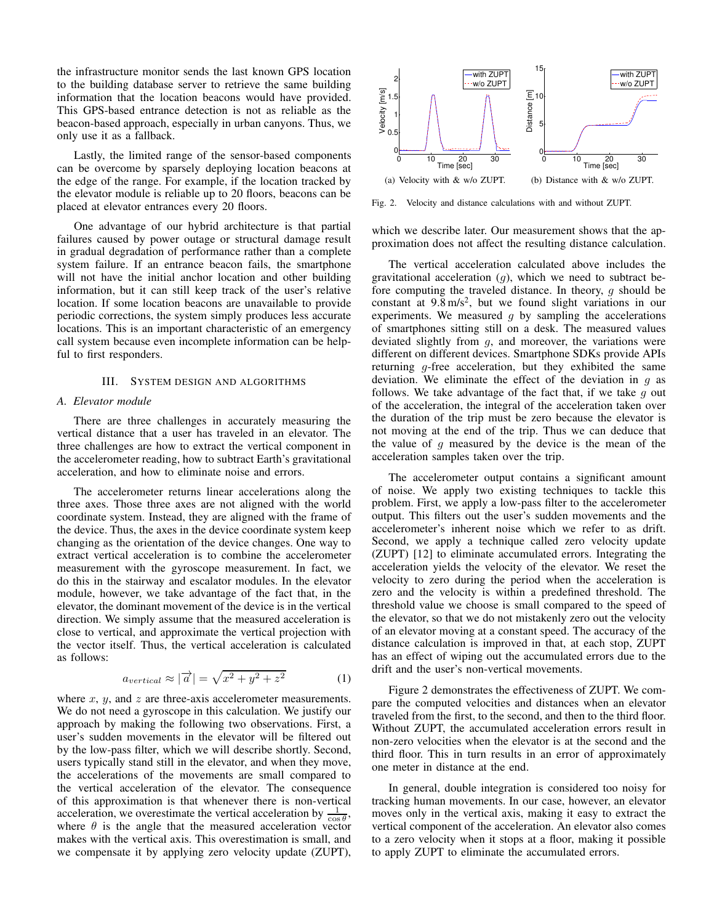the infrastructure monitor sends the last known GPS location to the building database server to retrieve the same building information that the location beacons would have provided. This GPS-based entrance detection is not as reliable as the beacon-based approach, especially in urban canyons. Thus, we only use it as a fallback.

Lastly, the limited range of the sensor-based components can be overcome by sparsely deploying location beacons at the edge of the range. For example, if the location tracked by the elevator module is reliable up to 20 floors, beacons can be placed at elevator entrances every 20 floors.

One advantage of our hybrid architecture is that partial failures caused by power outage or structural damage result in gradual degradation of performance rather than a complete system failure. If an entrance beacon fails, the smartphone will not have the initial anchor location and other building information, but it can still keep track of the user's relative location. If some location beacons are unavailable to provide periodic corrections, the system simply produces less accurate locations. This is an important characteristic of an emergency call system because even incomplete information can be helpful to first responders.

#### III. SYSTEM DESIGN AND ALGORITHMS

## *A. Elevator module*

There are three challenges in accurately measuring the vertical distance that a user has traveled in an elevator. The three challenges are how to extract the vertical component in the accelerometer reading, how to subtract Earth's gravitational acceleration, and how to eliminate noise and errors.

The accelerometer returns linear accelerations along the three axes. Those three axes are not aligned with the world coordinate system. Instead, they are aligned with the frame of the device. Thus, the axes in the device coordinate system keep changing as the orientation of the device changes. One way to extract vertical acceleration is to combine the accelerometer measurement with the gyroscope measurement. In fact, we do this in the stairway and escalator modules. In the elevator module, however, we take advantage of the fact that, in the elevator, the dominant movement of the device is in the vertical direction. We simply assume that the measured acceleration is close to vertical, and approximate the vertical projection with the vector itself. Thus, the vertical acceleration is calculated as follows:

$$
a_{vertical} \approx |\vec{a}| = \sqrt{x^2 + y^2 + z^2}
$$
 (1)

where  $x$ ,  $y$ , and  $z$  are three-axis accelerometer measurements. We do not need a gyroscope in this calculation. We justify our approach by making the following two observations. First, a user's sudden movements in the elevator will be filtered out by the low-pass filter, which we will describe shortly. Second, users typically stand still in the elevator, and when they move, the accelerations of the movements are small compared to the vertical acceleration of the elevator. The consequence of this approximation is that whenever there is non-vertical acceleration, we overestimate the vertical acceleration by  $\frac{1}{\cos \theta}$ , where  $\theta$  is the angle that the measured acceleration vector makes with the vertical axis. This overestimation is small, and we compensate it by applying zero velocity update (ZUPT),



Fig. 2. Velocity and distance calculations with and without ZUPT.

which we describe later. Our measurement shows that the approximation does not affect the resulting distance calculation.

The vertical acceleration calculated above includes the gravitational acceleration  $(q)$ , which we need to subtract before computing the traveled distance. In theory, g should be constant at  $9.8 \text{ m/s}^2$ , but we found slight variations in our experiments. We measured  $q$  by sampling the accelerations of smartphones sitting still on a desk. The measured values deviated slightly from g, and moreover, the variations were different on different devices. Smartphone SDKs provide APIs returning g-free acceleration, but they exhibited the same deviation. We eliminate the effect of the deviation in  $g$  as follows. We take advantage of the fact that, if we take  $q$  out of the acceleration, the integral of the acceleration taken over the duration of the trip must be zero because the elevator is not moving at the end of the trip. Thus we can deduce that the value of  $g$  measured by the device is the mean of the acceleration samples taken over the trip.

The accelerometer output contains a significant amount of noise. We apply two existing techniques to tackle this problem. First, we apply a low-pass filter to the accelerometer output. This filters out the user's sudden movements and the accelerometer's inherent noise which we refer to as drift. Second, we apply a technique called zero velocity update (ZUPT) [12] to eliminate accumulated errors. Integrating the acceleration yields the velocity of the elevator. We reset the velocity to zero during the period when the acceleration is zero and the velocity is within a predefined threshold. The threshold value we choose is small compared to the speed of the elevator, so that we do not mistakenly zero out the velocity of an elevator moving at a constant speed. The accuracy of the distance calculation is improved in that, at each stop, ZUPT has an effect of wiping out the accumulated errors due to the drift and the user's non-vertical movements.

Figure 2 demonstrates the effectiveness of ZUPT. We compare the computed velocities and distances when an elevator traveled from the first, to the second, and then to the third floor. Without ZUPT, the accumulated acceleration errors result in non-zero velocities when the elevator is at the second and the third floor. This in turn results in an error of approximately one meter in distance at the end.

In general, double integration is considered too noisy for tracking human movements. In our case, however, an elevator moves only in the vertical axis, making it easy to extract the vertical component of the acceleration. An elevator also comes to a zero velocity when it stops at a floor, making it possible to apply ZUPT to eliminate the accumulated errors.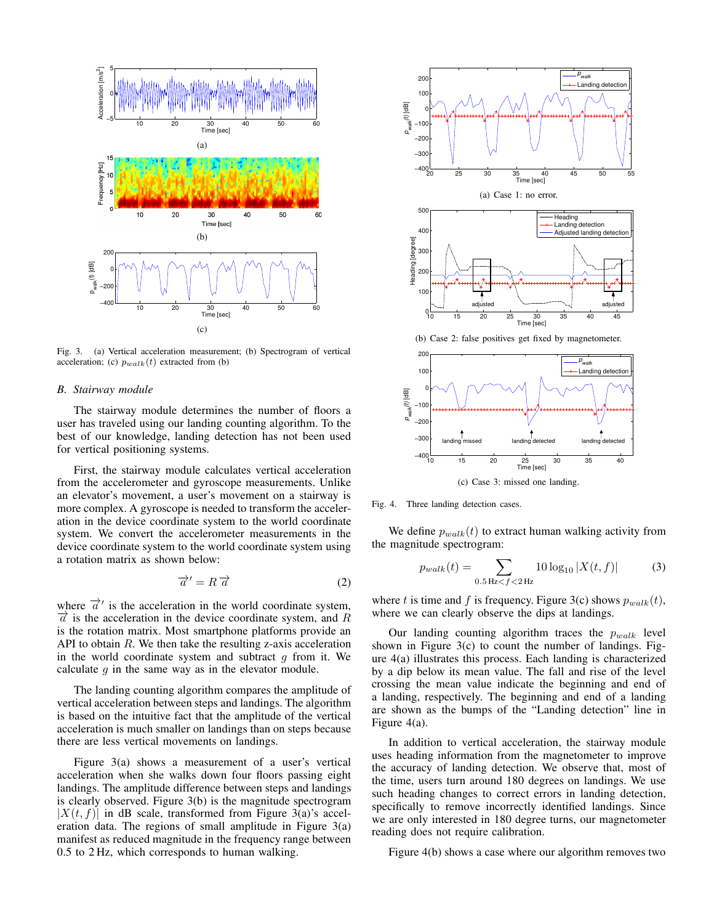

Fig. 3. (a) Vertical acceleration measurement; (b) Spectrogram of vertical acceleration; (c)  $p_{walk}(t)$  extracted from (b)

## *B. Stairway module*

The stairway module determines the number of floors a user has traveled using our landing counting algorithm. To the best of our knowledge, landing detection has not been used for vertical positioning systems.

First, the stairway module calculates vertical acceleration from the accelerometer and gyroscope measurements. Unlike an elevator's movement, a user's movement on a stairway is more complex. A gyroscope is needed to transform the acceleration in the device coordinate system to the world coordinate system. We convert the accelerometer measurements in the device coordinate system to the world coordinate system using a rotation matrix as shown below:

$$
\overrightarrow{a}' = R \overrightarrow{a}
$$
 (2)

where  $\vec{a}$ ' is the acceleration in the world coordinate system,  $\vec{a}$  is the acceleration in the device coordinate system, and R is the rotation matrix. Most smartphone platforms provide an API to obtain  $R$ . We then take the resulting z-axis acceleration in the world coordinate system and subtract  $g$  from it. We calculate  $q$  in the same way as in the elevator module.

The landing counting algorithm compares the amplitude of vertical acceleration between steps and landings. The algorithm is based on the intuitive fact that the amplitude of the vertical acceleration is much smaller on landings than on steps because there are less vertical movements on landings.

Figure 3(a) shows a measurement of a user's vertical acceleration when she walks down four floors passing eight landings. The amplitude difference between steps and landings is clearly observed. Figure 3(b) is the magnitude spectrogram  $|X(t, f)|$  in dB scale, transformed from Figure 3(a)'s acceleration data. The regions of small amplitude in Figure 3(a) manifest as reduced magnitude in the frequency range between 0.5 to 2 Hz, which corresponds to human walking.





(b) Case 2: false positives get fixed by magnetometer.



Fig. 4. Three landing detection cases.

We define  $p_{walk}(t)$  to extract human walking activity from the magnitude spectrogram:

$$
p_{walk}(t) = \sum_{0.5 \, \text{Hz} < f < 2 \, \text{Hz}} 10 \log_{10} |X(t, f)| \tag{3}
$$

where t is time and f is frequency. Figure 3(c) shows  $p_{walk}(t)$ , where we can clearly observe the dips at landings.

Our landing counting algorithm traces the  $p_{walk}$  level shown in Figure  $3(c)$  to count the number of landings. Figure 4(a) illustrates this process. Each landing is characterized by a dip below its mean value. The fall and rise of the level crossing the mean value indicate the beginning and end of a landing, respectively. The beginning and end of a landing are shown as the bumps of the "Landing detection" line in Figure 4(a).

In addition to vertical acceleration, the stairway module uses heading information from the magnetometer to improve the accuracy of landing detection. We observe that, most of the time, users turn around 180 degrees on landings. We use such heading changes to correct errors in landing detection, specifically to remove incorrectly identified landings. Since we are only interested in 180 degree turns, our magnetometer reading does not require calibration.

Figure 4(b) shows a case where our algorithm removes two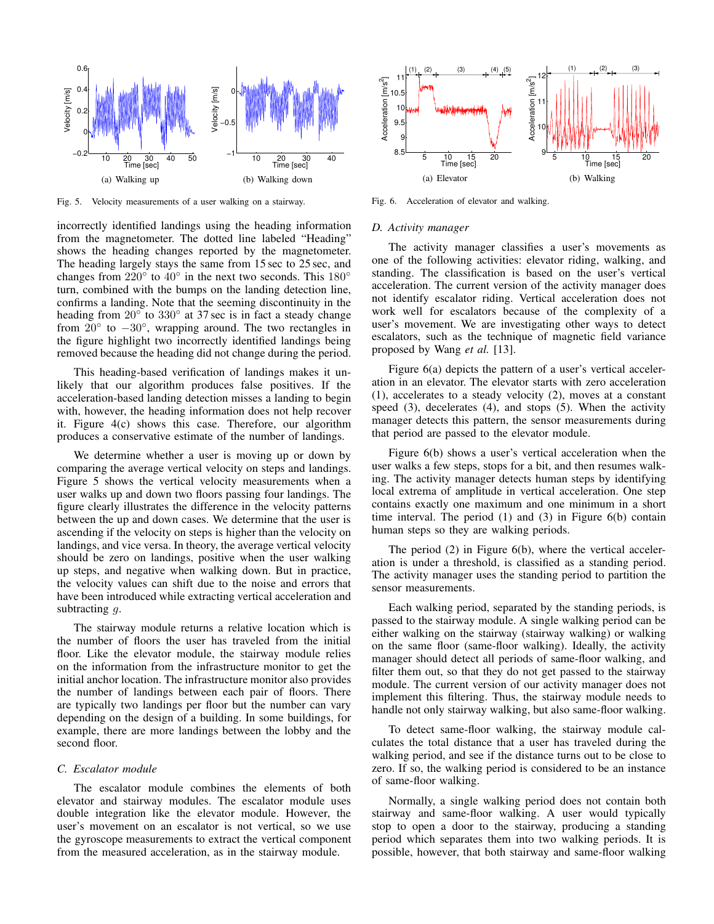

Fig. 5. Velocity measurements of a user walking on a stairway.

incorrectly identified landings using the heading information from the magnetometer. The dotted line labeled "Heading" shows the heading changes reported by the magnetometer. The heading largely stays the same from 15 sec to 25 sec, and changes from  $220^{\circ}$  to  $40^{\circ}$  in the next two seconds. This  $180^{\circ}$ turn, combined with the bumps on the landing detection line, confirms a landing. Note that the seeming discontinuity in the heading from  $20^\circ$  to  $330^\circ$  at 37 sec is in fact a steady change from  $20^\circ$  to  $-30^\circ$ , wrapping around. The two rectangles in the figure highlight two incorrectly identified landings being removed because the heading did not change during the period.

This heading-based verification of landings makes it unlikely that our algorithm produces false positives. If the acceleration-based landing detection misses a landing to begin with, however, the heading information does not help recover it. Figure 4(c) shows this case. Therefore, our algorithm produces a conservative estimate of the number of landings.

We determine whether a user is moving up or down by comparing the average vertical velocity on steps and landings. Figure 5 shows the vertical velocity measurements when a user walks up and down two floors passing four landings. The figure clearly illustrates the difference in the velocity patterns between the up and down cases. We determine that the user is ascending if the velocity on steps is higher than the velocity on landings, and vice versa. In theory, the average vertical velocity should be zero on landings, positive when the user walking up steps, and negative when walking down. But in practice, the velocity values can shift due to the noise and errors that have been introduced while extracting vertical acceleration and subtracting  $q$ .

The stairway module returns a relative location which is the number of floors the user has traveled from the initial floor. Like the elevator module, the stairway module relies on the information from the infrastructure monitor to get the initial anchor location. The infrastructure monitor also provides the number of landings between each pair of floors. There are typically two landings per floor but the number can vary depending on the design of a building. In some buildings, for example, there are more landings between the lobby and the second floor.

#### *C. Escalator module*

The escalator module combines the elements of both elevator and stairway modules. The escalator module uses double integration like the elevator module. However, the user's movement on an escalator is not vertical, so we use the gyroscope measurements to extract the vertical component from the measured acceleration, as in the stairway module.



Fig. 6. Acceleration of elevator and walking.

#### *D. Activity manager*

The activity manager classifies a user's movements as one of the following activities: elevator riding, walking, and standing. The classification is based on the user's vertical acceleration. The current version of the activity manager does not identify escalator riding. Vertical acceleration does not work well for escalators because of the complexity of a user's movement. We are investigating other ways to detect escalators, such as the technique of magnetic field variance proposed by Wang *et al.* [13].

Figure 6(a) depicts the pattern of a user's vertical acceleration in an elevator. The elevator starts with zero acceleration (1), accelerates to a steady velocity (2), moves at a constant speed (3), decelerates (4), and stops (5). When the activity manager detects this pattern, the sensor measurements during that period are passed to the elevator module.

Figure 6(b) shows a user's vertical acceleration when the user walks a few steps, stops for a bit, and then resumes walking. The activity manager detects human steps by identifying local extrema of amplitude in vertical acceleration. One step contains exactly one maximum and one minimum in a short time interval. The period (1) and (3) in Figure 6(b) contain human steps so they are walking periods.

The period (2) in Figure 6(b), where the vertical acceleration is under a threshold, is classified as a standing period. The activity manager uses the standing period to partition the sensor measurements.

Each walking period, separated by the standing periods, is passed to the stairway module. A single walking period can be either walking on the stairway (stairway walking) or walking on the same floor (same-floor walking). Ideally, the activity manager should detect all periods of same-floor walking, and filter them out, so that they do not get passed to the stairway module. The current version of our activity manager does not implement this filtering. Thus, the stairway module needs to handle not only stairway walking, but also same-floor walking.

To detect same-floor walking, the stairway module calculates the total distance that a user has traveled during the walking period, and see if the distance turns out to be close to zero. If so, the walking period is considered to be an instance of same-floor walking.

Normally, a single walking period does not contain both stairway and same-floor walking. A user would typically stop to open a door to the stairway, producing a standing period which separates them into two walking periods. It is possible, however, that both stairway and same-floor walking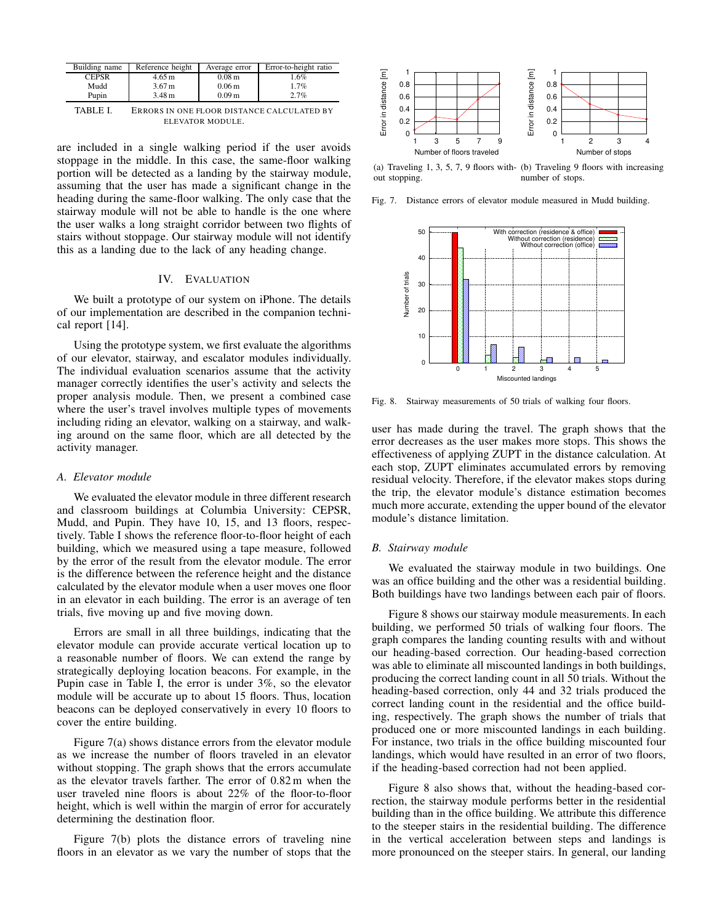| Building name | Reference height | Average error     | Error-to-height ratio |
|---------------|------------------|-------------------|-----------------------|
| <b>CEPSR</b>  | 4.65 m           | 0.08 <sub>m</sub> | 1.6%                  |
| Mudd          | 3.67 m           | 0.06 <sub>m</sub> | 1.7%                  |
| Pupin         | 3.48 m           | 0.09 <sub>m</sub> | 2.7%                  |
|               |                  |                   |                       |

TABLE I. ERRORS IN ONE FLOOR DISTANCE CALCULATED BY ELEVATOR MODULE.

are included in a single walking period if the user avoids stoppage in the middle. In this case, the same-floor walking portion will be detected as a landing by the stairway module, assuming that the user has made a significant change in the heading during the same-floor walking. The only case that the stairway module will not be able to handle is the one where the user walks a long straight corridor between two flights of stairs without stoppage. Our stairway module will not identify this as a landing due to the lack of any heading change.

#### IV. EVALUATION

We built a prototype of our system on iPhone. The details of our implementation are described in the companion technical report [14].

Using the prototype system, we first evaluate the algorithms of our elevator, stairway, and escalator modules individually. The individual evaluation scenarios assume that the activity manager correctly identifies the user's activity and selects the proper analysis module. Then, we present a combined case where the user's travel involves multiple types of movements including riding an elevator, walking on a stairway, and walking around on the same floor, which are all detected by the activity manager.

#### *A. Elevator module*

We evaluated the elevator module in three different research and classroom buildings at Columbia University: CEPSR, Mudd, and Pupin. They have 10, 15, and 13 floors, respectively. Table I shows the reference floor-to-floor height of each building, which we measured using a tape measure, followed by the error of the result from the elevator module. The error is the difference between the reference height and the distance calculated by the elevator module when a user moves one floor in an elevator in each building. The error is an average of ten trials, five moving up and five moving down.

Errors are small in all three buildings, indicating that the elevator module can provide accurate vertical location up to a reasonable number of floors. We can extend the range by strategically deploying location beacons. For example, in the Pupin case in Table I, the error is under 3%, so the elevator module will be accurate up to about 15 floors. Thus, location beacons can be deployed conservatively in every 10 floors to cover the entire building.

Figure 7(a) shows distance errors from the elevator module as we increase the number of floors traveled in an elevator without stopping. The graph shows that the errors accumulate as the elevator travels farther. The error of 0.82 m when the user traveled nine floors is about 22% of the floor-to-floor height, which is well within the margin of error for accurately determining the destination floor.

Figure 7(b) plots the distance errors of traveling nine floors in an elevator as we vary the number of stops that the



(a) Traveling 1, 3, 5, 7, 9 floors with-(b) Traveling 9 floors with increasing out stopping. number of stops.

Fig. 7. Distance errors of elevator module measured in Mudd building.



Fig. 8. Stairway measurements of 50 trials of walking four floors.

user has made during the travel. The graph shows that the error decreases as the user makes more stops. This shows the effectiveness of applying ZUPT in the distance calculation. At each stop, ZUPT eliminates accumulated errors by removing residual velocity. Therefore, if the elevator makes stops during the trip, the elevator module's distance estimation becomes much more accurate, extending the upper bound of the elevator module's distance limitation.

#### *B. Stairway module*

We evaluated the stairway module in two buildings. One was an office building and the other was a residential building. Both buildings have two landings between each pair of floors.

Figure 8 shows our stairway module measurements. In each building, we performed 50 trials of walking four floors. The graph compares the landing counting results with and without our heading-based correction. Our heading-based correction was able to eliminate all miscounted landings in both buildings, producing the correct landing count in all 50 trials. Without the heading-based correction, only 44 and 32 trials produced the correct landing count in the residential and the office building, respectively. The graph shows the number of trials that produced one or more miscounted landings in each building. For instance, two trials in the office building miscounted four landings, which would have resulted in an error of two floors, if the heading-based correction had not been applied.

Figure 8 also shows that, without the heading-based correction, the stairway module performs better in the residential building than in the office building. We attribute this difference to the steeper stairs in the residential building. The difference in the vertical acceleration between steps and landings is more pronounced on the steeper stairs. In general, our landing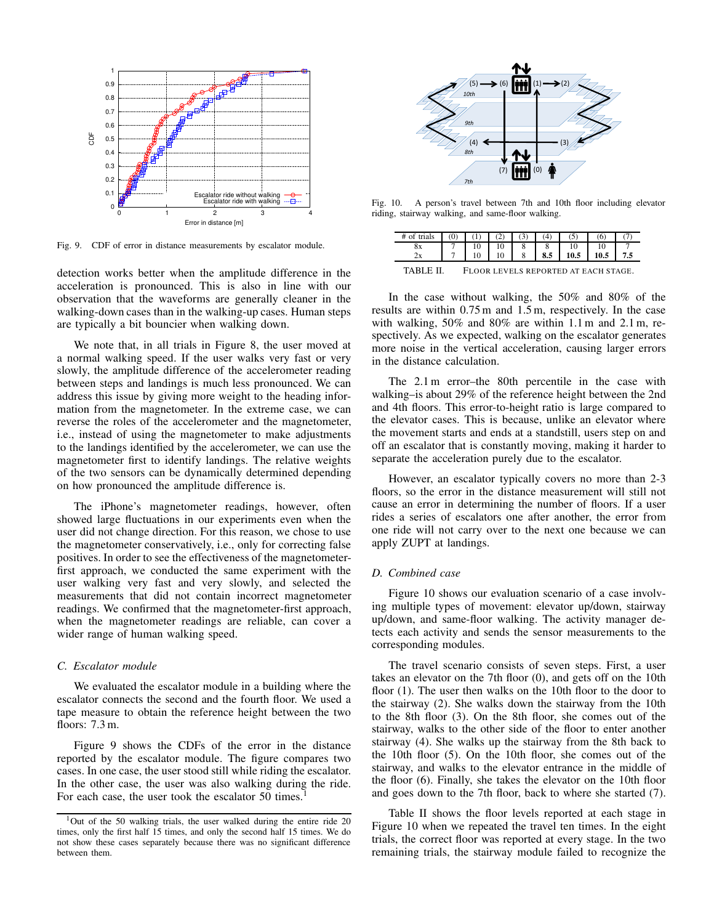

Fig. 9. CDF of error in distance measurements by escalator module.

detection works better when the amplitude difference in the acceleration is pronounced. This is also in line with our observation that the waveforms are generally cleaner in the walking-down cases than in the walking-up cases. Human steps are typically a bit bouncier when walking down.

We note that, in all trials in Figure 8, the user moved at a normal walking speed. If the user walks very fast or very slowly, the amplitude difference of the accelerometer reading between steps and landings is much less pronounced. We can address this issue by giving more weight to the heading information from the magnetometer. In the extreme case, we can reverse the roles of the accelerometer and the magnetometer, i.e., instead of using the magnetometer to make adjustments to the landings identified by the accelerometer, we can use the magnetometer first to identify landings. The relative weights of the two sensors can be dynamically determined depending on how pronounced the amplitude difference is.

The iPhone's magnetometer readings, however, often showed large fluctuations in our experiments even when the user did not change direction. For this reason, we chose to use the magnetometer conservatively, i.e., only for correcting false positives. In order to see the effectiveness of the magnetometerfirst approach, we conducted the same experiment with the user walking very fast and very slowly, and selected the measurements that did not contain incorrect magnetometer readings. We confirmed that the magnetometer-first approach, when the magnetometer readings are reliable, can cover a wider range of human walking speed.

## *C. Escalator module*

We evaluated the escalator module in a building where the escalator connects the second and the fourth floor. We used a tape measure to obtain the reference height between the two floors: 7.3 m.

Figure 9 shows the CDFs of the error in the distance reported by the escalator module. The figure compares two cases. In one case, the user stood still while riding the escalator. In the other case, the user was also walking during the ride. For each case, the user took the escalator 50 times.<sup>1</sup>



Fig. 10. A person's travel between 7th and 10th floor including elevator riding, stairway walking, and same-floor walking.

| #  |   |    |    |   |                  |      | 6    |      |
|----|---|----|----|---|------------------|------|------|------|
| ол |   | ιv | 10 | 8 | O                | 10   | 10   |      |
|    | - |    | 10 | 8 | $\bullet$<br>8.5 | LV.3 | 10.5 | د. ا |

TABLE II. FLOOR LEVELS REPORTED AT EACH STAGE.

In the case without walking, the 50% and 80% of the results are within 0.75 m and 1.5 m, respectively. In the case with walking, 50% and 80% are within 1.1 m and 2.1 m, respectively. As we expected, walking on the escalator generates more noise in the vertical acceleration, causing larger errors in the distance calculation.

The 2.1 m error–the 80th percentile in the case with walking–is about 29% of the reference height between the 2nd and 4th floors. This error-to-height ratio is large compared to the elevator cases. This is because, unlike an elevator where the movement starts and ends at a standstill, users step on and off an escalator that is constantly moving, making it harder to separate the acceleration purely due to the escalator.

However, an escalator typically covers no more than 2-3 floors, so the error in the distance measurement will still not cause an error in determining the number of floors. If a user rides a series of escalators one after another, the error from one ride will not carry over to the next one because we can apply ZUPT at landings.

#### *D. Combined case*

Figure 10 shows our evaluation scenario of a case involving multiple types of movement: elevator up/down, stairway up/down, and same-floor walking. The activity manager detects each activity and sends the sensor measurements to the corresponding modules.

The travel scenario consists of seven steps. First, a user takes an elevator on the 7th floor (0), and gets off on the 10th floor (1). The user then walks on the 10th floor to the door to the stairway (2). She walks down the stairway from the 10th to the 8th floor (3). On the 8th floor, she comes out of the stairway, walks to the other side of the floor to enter another stairway (4). She walks up the stairway from the 8th back to the 10th floor (5). On the 10th floor, she comes out of the stairway, and walks to the elevator entrance in the middle of the floor (6). Finally, she takes the elevator on the 10th floor and goes down to the 7th floor, back to where she started (7).

Table II shows the floor levels reported at each stage in Figure 10 when we repeated the travel ten times. In the eight trials, the correct floor was reported at every stage. In the two remaining trials, the stairway module failed to recognize the

<sup>&</sup>lt;sup>1</sup>Out of the 50 walking trials, the user walked during the entire ride 20 times, only the first half 15 times, and only the second half 15 times. We do not show these cases separately because there was no significant difference between them.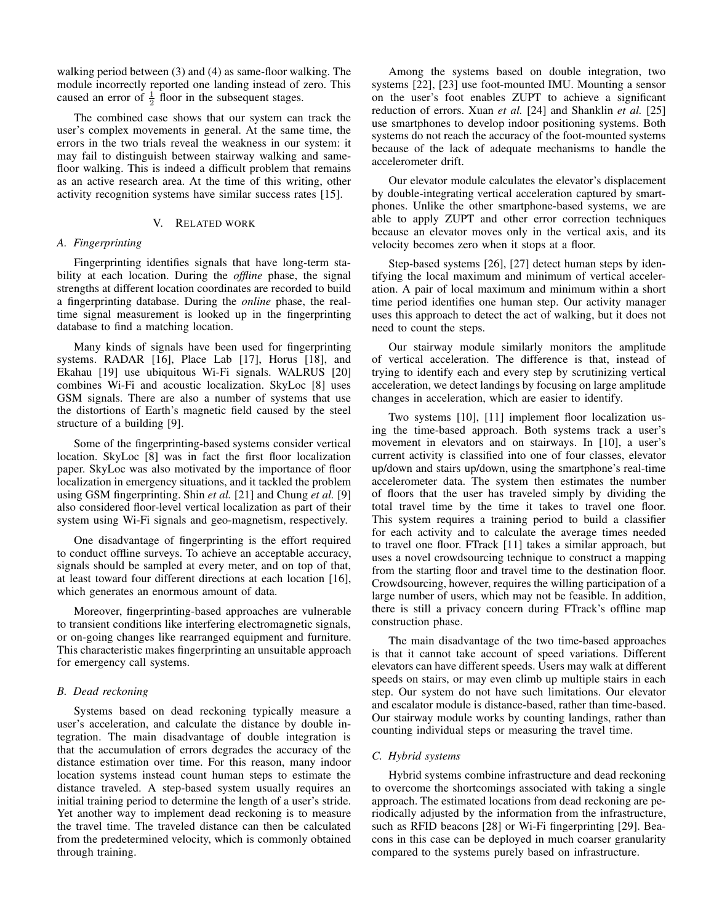walking period between (3) and (4) as same-floor walking. The module incorrectly reported one landing instead of zero. This caused an error of  $\frac{1}{2}$  floor in the subsequent stages.

The combined case shows that our system can track the user's complex movements in general. At the same time, the errors in the two trials reveal the weakness in our system: it may fail to distinguish between stairway walking and samefloor walking. This is indeed a difficult problem that remains as an active research area. At the time of this writing, other activity recognition systems have similar success rates [15].

## V. RELATED WORK

## *A. Fingerprinting*

Fingerprinting identifies signals that have long-term stability at each location. During the *offline* phase, the signal strengths at different location coordinates are recorded to build a fingerprinting database. During the *online* phase, the realtime signal measurement is looked up in the fingerprinting database to find a matching location.

Many kinds of signals have been used for fingerprinting systems. RADAR [16], Place Lab [17], Horus [18], and Ekahau [19] use ubiquitous Wi-Fi signals. WALRUS [20] combines Wi-Fi and acoustic localization. SkyLoc [8] uses GSM signals. There are also a number of systems that use the distortions of Earth's magnetic field caused by the steel structure of a building [9].

Some of the fingerprinting-based systems consider vertical location. SkyLoc [8] was in fact the first floor localization paper. SkyLoc was also motivated by the importance of floor localization in emergency situations, and it tackled the problem using GSM fingerprinting. Shin *et al.* [21] and Chung *et al.* [9] also considered floor-level vertical localization as part of their system using Wi-Fi signals and geo-magnetism, respectively.

One disadvantage of fingerprinting is the effort required to conduct offline surveys. To achieve an acceptable accuracy, signals should be sampled at every meter, and on top of that, at least toward four different directions at each location [16], which generates an enormous amount of data.

Moreover, fingerprinting-based approaches are vulnerable to transient conditions like interfering electromagnetic signals, or on-going changes like rearranged equipment and furniture. This characteristic makes fingerprinting an unsuitable approach for emergency call systems.

## *B. Dead reckoning*

Systems based on dead reckoning typically measure a user's acceleration, and calculate the distance by double integration. The main disadvantage of double integration is that the accumulation of errors degrades the accuracy of the distance estimation over time. For this reason, many indoor location systems instead count human steps to estimate the distance traveled. A step-based system usually requires an initial training period to determine the length of a user's stride. Yet another way to implement dead reckoning is to measure the travel time. The traveled distance can then be calculated from the predetermined velocity, which is commonly obtained through training.

Among the systems based on double integration, two systems [22], [23] use foot-mounted IMU. Mounting a sensor on the user's foot enables ZUPT to achieve a significant reduction of errors. Xuan *et al.* [24] and Shanklin *et al.* [25] use smartphones to develop indoor positioning systems. Both systems do not reach the accuracy of the foot-mounted systems because of the lack of adequate mechanisms to handle the accelerometer drift.

Our elevator module calculates the elevator's displacement by double-integrating vertical acceleration captured by smartphones. Unlike the other smartphone-based systems, we are able to apply ZUPT and other error correction techniques because an elevator moves only in the vertical axis, and its velocity becomes zero when it stops at a floor.

Step-based systems [26], [27] detect human steps by identifying the local maximum and minimum of vertical acceleration. A pair of local maximum and minimum within a short time period identifies one human step. Our activity manager uses this approach to detect the act of walking, but it does not need to count the steps.

Our stairway module similarly monitors the amplitude of vertical acceleration. The difference is that, instead of trying to identify each and every step by scrutinizing vertical acceleration, we detect landings by focusing on large amplitude changes in acceleration, which are easier to identify.

Two systems [10], [11] implement floor localization using the time-based approach. Both systems track a user's movement in elevators and on stairways. In [10], a user's current activity is classified into one of four classes, elevator up/down and stairs up/down, using the smartphone's real-time accelerometer data. The system then estimates the number of floors that the user has traveled simply by dividing the total travel time by the time it takes to travel one floor. This system requires a training period to build a classifier for each activity and to calculate the average times needed to travel one floor. FTrack [11] takes a similar approach, but uses a novel crowdsourcing technique to construct a mapping from the starting floor and travel time to the destination floor. Crowdsourcing, however, requires the willing participation of a large number of users, which may not be feasible. In addition, there is still a privacy concern during FTrack's offline map construction phase.

The main disadvantage of the two time-based approaches is that it cannot take account of speed variations. Different elevators can have different speeds. Users may walk at different speeds on stairs, or may even climb up multiple stairs in each step. Our system do not have such limitations. Our elevator and escalator module is distance-based, rather than time-based. Our stairway module works by counting landings, rather than counting individual steps or measuring the travel time.

## *C. Hybrid systems*

Hybrid systems combine infrastructure and dead reckoning to overcome the shortcomings associated with taking a single approach. The estimated locations from dead reckoning are periodically adjusted by the information from the infrastructure, such as RFID beacons [28] or Wi-Fi fingerprinting [29]. Beacons in this case can be deployed in much coarser granularity compared to the systems purely based on infrastructure.